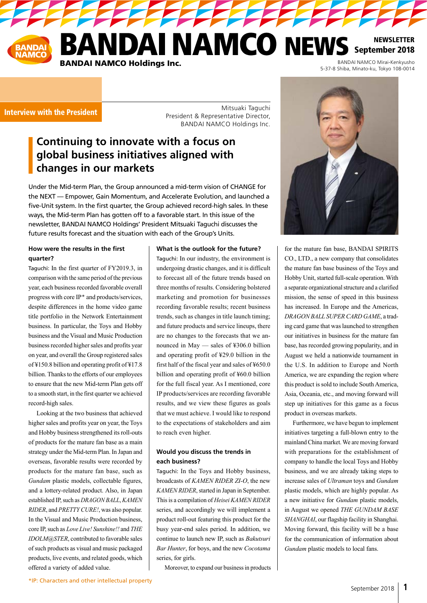

222222

Interview with the President

Mitsuaki Taguchi President & Representative Director, BANDAI NAMCO Holdings Inc.

# **Continuing to innovate with a focus on global business initiatives aligned with changes in our markets**

Under the Mid-term Plan, the Group announced a mid-term vision of CHANGE for the NEXT — Empower, Gain Momentum, and Accelerate Evolution, and launched a five-Unit system. In the first quarter, the Group achieved record-high sales. In these ways, the Mid-term Plan has gotten off to a favorable start. In this issue of the newsletter, BANDAI NAMCO Holdings' President Mitsuaki Taguchi discusses the future results forecast and the situation with each of the Group's Units.

### **How were the results in the first quarter?**

Taguchi: In the first quarter of FY2019.3, in comparison with the same period of the previous year, each business recorded favorable overall progress with core IP\* and products/services, despite differences in the home video game title portfolio in the Network Entertainment business. In particular, the Toys and Hobby business and the Visual and Music Production business recorded higher sales and profits year on year, and overall the Group registered sales of ¥150.8 billion and operating profit of ¥17.8 billion. Thanks to the efforts of our employees to ensure that the new Mid-term Plan gets off to a smooth start, in the first quarter we achieved record-high sales.

Looking at the two business that achieved higher sales and profits year on year, the Toys and Hobby business strengthened its roll-outs of products for the mature fan base as a main strategy under the Mid-term Plan. In Japan and overseas, favorable results were recorded by products for the mature fan base, such as *Gundam* plastic models, collectable figures, and a lottery-related product. Also, in Japan established IP, such as *DRAGON BALL*, *KAMEN RIDER*, and *PRETTY CURE!*, was also popular. In the Visual and Music Production business, core IP, such as *Love Live! Sunshine!!* and *THE IDOLM@STER*, contributed to favorable sales of such products as visual and music packaged products, live events, and related goods, which offered a variety of added value.

#### **What is the outlook for the future?**

Taguchi: In our industry, the environment is undergoing drastic changes, and it is difficult to forecast all of the future trends based on three months of results. Considering bolstered marketing and promotion for businesses recording favorable results; recent business trends, such as changes in title launch timing; and future products and service lineups, there are no changes to the forecasts that we announced in May — sales of ¥306.0 billion and operating profit of ¥29.0 billion in the first half of the fiscal year and sales of ¥650.0 billion and operating profit of ¥60.0 billion for the full fiscal year. As I mentioned, core IP products/services are recording favorable results, and we view these figures as goals that we must achieve. I would like to respond to the expectations of stakeholders and aim to reach even higher.

### **Would you discuss the trends in each business?**

Taguchi: In the Toys and Hobby business, broadcasts of *KAMEN RIDER ZI-O*, the new *KAMEN RIDER*, started in Japan in September. This is a compilation of *Heisei KAMEN RIDER*  series, and accordingly we will implement a product roll-out featuring this product for the busy year-end sales period. In addition, we continue to launch new IP, such as *Bakutsuri Bar Hunter*, for boys, and the new *Cocotama* series, for girls.

Moreover, to expand our business in products



5-37-8 Shiba, Minato-ku, Tokyo 108-0014

for the mature fan base, BANDAI SPIRITS CO., LTD., a new company that consolidates the mature fan base business of the Toys and Hobby Unit, started full-scale operation. With a separate organizational structure and a clarified mission, the sense of speed in this business has increased. In Europe and the Americas, *DRAGON BALL SUPER CARD GAME*, a trading card game that was launched to strengthen our initiatives in business for the mature fan base, has recorded growing popularity, and in August we held a nationwide tournament in the U.S. In addition to Europe and North America, we are expanding the region where this product is sold to include South America, Asia, Oceania, etc., and moving forward will step up initiatives for this game as a focus product in overseas markets.

Furthermore, we have begun to implement initiatives targeting a full-blown entry to the mainland China market. We are moving forward with preparations for the establishment of company to handle the local Toys and Hobby business, and we are already taking steps to increase sales of *Ultraman* toys and *Gundam* plastic models, which are highly popular. As a new initiative for *Gundam* plastic models, in August we opened *THE GUNDAM BASE SHANGHAI*, our flagship facility in Shanghai. Moving forward, this facility will be a base for the communication of information about *Gundam* plastic models to local fans.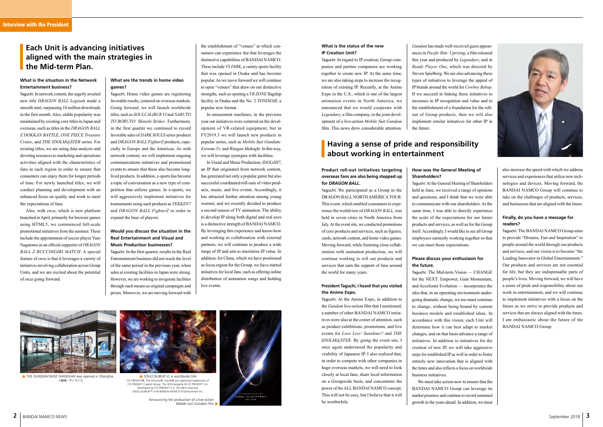

## **What is the situation in the Network Entertainment business?**

Taguchi: In network content, the eagerly awaited new title *DRAGON BALL Legends* made a smooth start, surpassing 10 million downloads in the first month. Also, stable popularity was maintained by existing core titles in Japan and overseas, such as titles in the *DRAGON BALL Z DOKKAN BATTLE*, *ONE PIECE Treasure Cruise*, and *THE IDOLM@STER* series. For existing titles, we are using data analysis and devoting resources to marketing and operations activities aligned with the characteristics of fans in each region in order to ensure that consumers can enjoy them for longer periods of time. For newly launched titles, we will conduct planning and development with an enhanced focus on quality and work to meet the expectations of fans.

> Taguchi: At the Anime Expo, in addition to the *Gundam* live-action film that I mentioned, a number of other BANDAI NAMCO initiatives were also at the center of attention, such as product exhibitions, promotions, and live events for *Love Live! Sunshine!!* and *THE IDOLM@STER*. By going the event site, I once again understood the popularity and visibility of Japanese IP. I also realized that, in order to compete with other companies in huge overseas markets, we will need to look closely at local fans, share local information on a Groupwide basis, and concentrate the power of the ALL BANDAI NAMCO concept. This will not be easy, but I believe that it will be worthwhile. Announcing the production of a live-action<br>Mobile Suit Gundam film

Also, with *enza*, which is new platform launched in April, primarily for browser games using HTML5, we commenced full-scale promotional initiatives from the summer. These include the appointment of soccer player Yuto Nagatomo as an official supporter of *DRAGON BALL Z BUCCHIGIRI MATCH*. A special feature of *enza* is that it leverages a variety of initiatives involving collaboration across Group Units, and we are excited about the potential of *enza* going forward.

### **Product roll-out initiatives targeting overseas fans are also being stepped up for** *DRAGON BALL***.**

Taguchi: We participated as a Group in the DRAGON BALL NORTH AMERICA TOUR. This event, which enabled consumers to experience the worldview of *DRAGON BALL*, was held in seven cities in North America from July. At the event site, we conducted promotions of core products and services, such as figures, cards, network content, and home video games. Moving forward, while fostering close collaboration with animation production, we will continue working to roll out products and services that earn the support of fans around the world for many years.

#### **President Taguchi, I heard that you visited the Anime Expo.**

also increase the speed with which we address services and experiences that utilize new technologies and devices. Moving forward, the BANDAI NAMCO Group will continue to take on the challenges of products, services, and businesses that are aligned with the times.

### **Finally, do you have a message for readers?**

Taguchi: The BANDAI NAMCO Group aims to provide "Dreams, Fun and Inspiration" to people around the world through our products and services, and our vision is to become "the Leading Innovator in Global Entertainment." Our products and services are not essential for life, but they are indispensable parts of people's lives. Moving forward, we will have a sense of pride and responsibility about our work in entertainment, and we will continue to implement initiatives with a focus on the future as we strive to provide products and services that are always aligned with the times. I am enthusiastic about the future of the BANDAI NAMCO Group.



CD PROJEKT®, The Witcher®, Geralt® are registered trademarks of CD PROJEKT Capital Group. The Witchergame © CD PROJEKT S.A. Developed by CD PROJEKT S.A. All rights reserved. SOULCALIBUR™ VI © BANDAI NAMCO Entertainment Inc.

# **Each Unit is advancing initiatives aligned with the main strategies in the Mid-term Plan.**

## **What are the trends in home video games?**

Taguchi: Home video games are registering favorable results, centered on overseas markets. Going forward, we will launch worldwide titles, such as *SOULCALIBUR VI* and *NARUTO TO BORUTO: Shinobi Striker*. Furthermore, in the first quarter we continued to record favorable sales of *DARK SOULS* series products and *DRAGON BALL FighterZ* products, especially in Europe and the Americas. As with network content, we will implement ongoing communications initiatives and promotional events to ensure that these also become longlived products. In addition, e-sports has become a topic of conversation as a new type of competition that utilizes games. In e-sports, we will aggressively implement initiatives for tournaments using such products as *TEKKEN7* and *DRAGON BALL FighterZ* in order to expand the base of players.

### **Would you discuss the situation in the Real Entertainment and Visual and Music Production businesses?**

Taguchi: In the first quarter, results in the Real Entertainment business did not reach the level of the same period in the previous year, when sales at existing facilities in Japan were strong. However, we are working to invigorate facilities through such means as original campaigns and prizes. Moreover, we are moving forward with the establishment of "venues" at which consumers can experience fun that leverages the distinctive capabilities of BANDAI NAMCO. These include *VS PARK*, a variety sports facility that was opened in Osaka and has become popular. As we move forward we will continue to open "venues" that draw on our distinctive strengths, such as opening a *VR ZONE* flagship facility in Osaka and the No. 2 *TONDEMI*, a popular new format.

In amusement machines, in the previous year our initiatives were centered on the development of VR-related equipment, but in FY2019.3 we will launch new products in popular series, such as *Mobile Suit Gundam: Extreme Vs.* and *Wangan Midnight*. In this way, we will leverage synergies with facilities.

In Visual and Music Production, *IDOLiSH7*, an IP that originated from network content, has generated not only a popular game but also successful coordinated roll-outs of video products, music, and live events. Accordingly, it has attracted further attention among young women, and we recently decided to produce a second season of TV animation. The ability to develop IP along both digital and real axes is a distinctive strength of BANDAI NAMCO. By leveraging this experience and know-how and working in collaboration with external partners, we will continue to produce a wide range of IP and aim to maximize IP value. In addition, for China, which we have positioned as focus region for the Group, we have started initiatives for local fans, such as offering online distribution of animation songs and holding live events.



 THE *GUNDAM BASE SHANGHAI* was opened in Shanghai. *SOULCALIBUR VI*, a worldwide title ©創通・サンライズ

#### **What is the status of the new IP Creation Unit?**

Taguchi: In regard to IP creation, Group companies and partner companies are working together to create new IP. At the same time, we are also taking steps to increase the recognition of existing IP. Recently, at the Anime Expo in the U.S., which is one of the largest animation events in North America, we announced that we would cooperate with *Legendary*, a film company, in the joint development of a live-action *Mobile Suit Gundam*  film. This news drew considerable attention.

*Gundam* has made well-received guest appearances in *Pacific Rim: Uprising*, a film released this year and produced by *Legendary*, and in *Ready Player One*, which was directed by Steven Spielberg. We are also advancing these types of initiatives to leverage the appeal of IP brands around the world for *Cowboy Bebop*. If we succeed in linking these initiatives to increases in IP recognition and value and to the establishment of a foundation for the rollout of Group products, then we will also implement similar initiatives for other IP in the future.

# **Having a sense of pride and responsibility about working in entertainment**

## **How was the General Meeting of Shareholders?**

Taguchi: At the General Meeting of Shareholders held in June, we received a range of opinions and questions, and I think that we were able to communicate with our shareholders. At the same time, I was able to directly experience the scale of the expectations for our future products and services, as well as for the Group itself. Accordingly, I would like to see all Group employees earnestly working together so that we can meet those expectations.

### **Please discuss your enthusiasm for the future.**

Taguchi: The Mid-term Vision — CHANGE for the NEXT: Empower, Gain Momentum, and Accelerate Evolution — incorporates the idea that, in an operating environment undergoing dramatic change, we too must continue to change, without being bound by current business models and established ideas. In accordance with this vision, each Unit will determine how it can best adapt to market changes, and on that basis advance a range of initiatives. In addition to initiatives for the creation of new IP, we will take aggressive steps for established IP as well in order to foster entirely new innovation that is aligned with the times and also reflects a focus on worldwide business initiatives.

We must take action now to ensure that the BANDAI NAMCO Group can leverage its market presence and continue to record sustained

*Mobile Suit Gundam* film